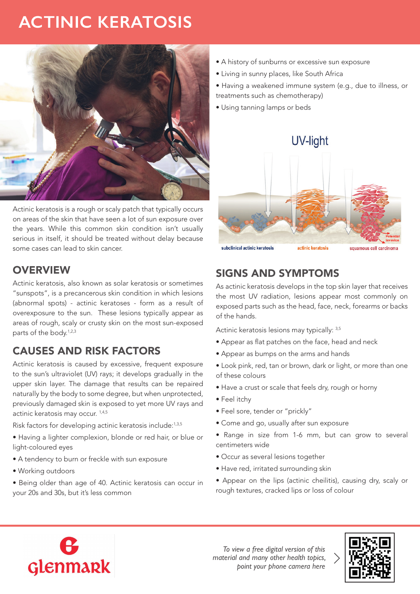# **ACTINIC KERATOSIS**



Actinic keratosis is a rough or scaly patch that typically occurs on areas of the skin that have seen a lot of sun exposure over the years. While this common skin condition isn't usually serious in itself, it should be treated without delay because some cases can lead to skin cancer.

#### **OVERVIEW**

Actinic keratosis, also known as solar keratosis or sometimes "sunspots", is a precancerous skin condition in which lesions (abnormal spots) - actinic keratoses - form as a result of overexposure to the sun. These lesions typically appear as areas of rough, scaly or crusty skin on the most sun-exposed parts of the body.<sup>1,2,3</sup>

# CAUSES AND RISK FACTORS

Actinic keratosis is caused by excessive, frequent exposure to the sun's ultraviolet (UV) rays; it develops gradually in the upper skin layer. The damage that results can be repaired naturally by the body to some degree, but when unprotected, previously damaged skin is exposed to yet more UV rays and actinic keratosis may occur. 1,4,5

Risk factors for developing actinic keratosis include:1,3,5

- Having a lighter complexion, blonde or red hair, or blue or light-coloured eyes
- A tendency to burn or freckle with sun exposure
- Working outdoors
- Being older than age of 40. Actinic keratosis can occur in your 20s and 30s, but it's less common
- A history of sunburns or excessive sun exposure
- Living in sunny places, like South Africa
- Having a weakened immune system (e.g., due to illness, or treatments such as chemotherapy)
- Using tanning lamps or beds



### SIGNS AND SYMPTOMS

As actinic keratosis develops in the top skin layer that receives the most UV radiation, lesions appear most commonly on exposed parts such as the head, face, neck, forearms or backs of the hands.

Actinic keratosis lesions may typically: 3,5

- Appear as flat patches on the face, head and neck
- Appear as bumps on the arms and hands
- Look pink, red, tan or brown, dark or light, or more than one of these colours
- Have a crust or scale that feels dry, rough or horny
- Feel itchy
- Feel sore, tender or "prickly"
- Come and go, usually after sun exposure
- Range in size from 1-6 mm, but can grow to several centimeters wide
- Occur as several lesions together
- Have red, irritated surrounding skin
- Appear on the lips (actinic cheilitis), causing dry, scaly or rough textures, cracked lips or loss of colour



*To view a free digital version of this material and many other health topics, point your phone camera here*